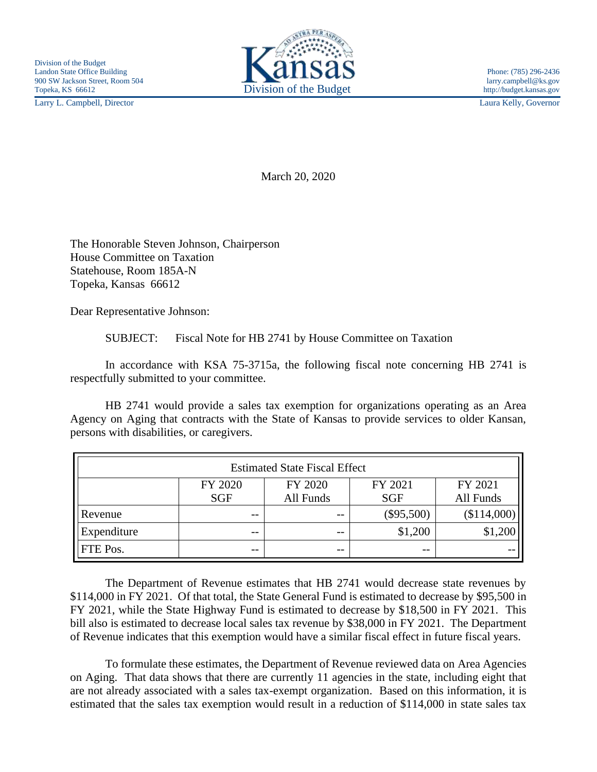Larry L. Campbell, Director Laura Kelly, Governor



March 20, 2020

The Honorable Steven Johnson, Chairperson House Committee on Taxation Statehouse, Room 185A-N Topeka, Kansas 66612

Dear Representative Johnson:

SUBJECT: Fiscal Note for HB 2741 by House Committee on Taxation

In accordance with KSA 75-3715a, the following fiscal note concerning HB 2741 is respectfully submitted to your committee.

HB 2741 would provide a sales tax exemption for organizations operating as an Area Agency on Aging that contracts with the State of Kansas to provide services to older Kansan, persons with disabilities, or caregivers.

| <b>Estimated State Fiscal Effect</b> |            |           |              |             |
|--------------------------------------|------------|-----------|--------------|-------------|
|                                      | FY 2020    | FY 2020   | FY 2021      | FY 2021     |
|                                      | <b>SGF</b> | All Funds | <b>SGF</b>   | All Funds   |
| Revenue                              | $- -$      | --        | $(\$95,500)$ | (\$114,000) |
| Expenditure                          | $- -$      | $ -$      | \$1,200      | \$1,200     |
| FTE Pos.                             | --         | $ -$      | $- -$        |             |

The Department of Revenue estimates that HB 2741 would decrease state revenues by \$114,000 in FY 2021. Of that total, the State General Fund is estimated to decrease by \$95,500 in FY 2021, while the State Highway Fund is estimated to decrease by \$18,500 in FY 2021. This bill also is estimated to decrease local sales tax revenue by \$38,000 in FY 2021. The Department of Revenue indicates that this exemption would have a similar fiscal effect in future fiscal years.

To formulate these estimates, the Department of Revenue reviewed data on Area Agencies on Aging. That data shows that there are currently 11 agencies in the state, including eight that are not already associated with a sales tax-exempt organization. Based on this information, it is estimated that the sales tax exemption would result in a reduction of \$114,000 in state sales tax